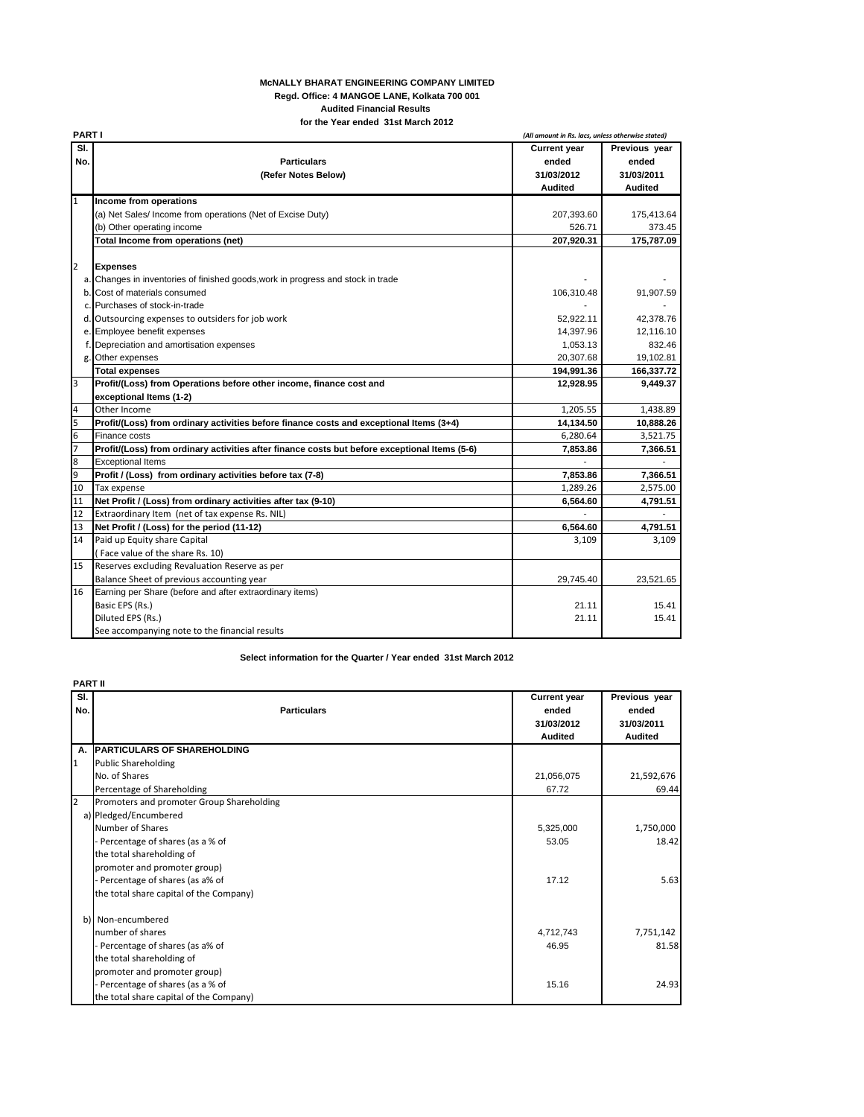## **McNALLY BHARAT ENGINEERING COMPANY LIMITED Regd. Office: 4 MANGOE LANE, Kolkata 700 001 Audited Financial Results for the Year ended 31st March 2012**

|                          | <b>PARTI</b>                                                                                  |                     | (All amount in Rs. lacs, unless otherwise stated) |  |
|--------------------------|-----------------------------------------------------------------------------------------------|---------------------|---------------------------------------------------|--|
| $\overline{\mathsf{SI}}$ |                                                                                               | <b>Current year</b> | Previous year                                     |  |
| No.                      | <b>Particulars</b>                                                                            | ended               | ended                                             |  |
|                          | (Refer Notes Below)                                                                           | 31/03/2012          | 31/03/2011                                        |  |
|                          |                                                                                               | <b>Audited</b>      | Audited                                           |  |
| 1                        | Income from operations                                                                        |                     |                                                   |  |
|                          | (a) Net Sales/ Income from operations (Net of Excise Duty)                                    | 207,393.60          | 175,413.64                                        |  |
|                          | (b) Other operating income                                                                    | 526.71              | 373.45                                            |  |
|                          | Total Income from operations (net)                                                            | 207.920.31          | 175.787.09                                        |  |
|                          |                                                                                               |                     |                                                   |  |
| 2                        | <b>Expenses</b>                                                                               |                     |                                                   |  |
|                          | a. Changes in inventories of finished goods, work in progress and stock in trade              |                     |                                                   |  |
|                          | b. Cost of materials consumed                                                                 | 106,310.48          | 91,907.59                                         |  |
|                          | c. Purchases of stock-in-trade                                                                |                     |                                                   |  |
|                          | d. Outsourcing expenses to outsiders for job work                                             | 52,922.11           | 42,378.76                                         |  |
|                          | e. Employee benefit expenses                                                                  | 14,397.96           | 12,116.10                                         |  |
|                          | f. Depreciation and amortisation expenses                                                     | 1,053.13            | 832.46                                            |  |
| g.                       | Other expenses                                                                                | 20,307.68           | 19,102.81                                         |  |
|                          | <b>Total expenses</b>                                                                         | 194,991.36          | 166,337.72                                        |  |
| 3                        | Profit/(Loss) from Operations before other income, finance cost and                           | 12,928.95           | 9,449.37                                          |  |
|                          | exceptional Items (1-2)                                                                       |                     |                                                   |  |
| 4                        | Other Income                                                                                  | 1,205.55            | 1,438.89                                          |  |
| 5                        | Profit/(Loss) from ordinary activities before finance costs and exceptional Items (3+4)       | 14,134.50           | 10,888.26                                         |  |
| 6                        | Finance costs                                                                                 | 6.280.64            | 3,521.75                                          |  |
| 7                        | Profit/(Loss) from ordinary activities after finance costs but before exceptional Items (5-6) | 7.853.86            | 7.366.51                                          |  |
| 8                        | <b>Exceptional Items</b>                                                                      |                     |                                                   |  |
| 9                        | Profit / (Loss) from ordinary activities before tax (7-8)                                     | 7,853.86            | 7,366.51                                          |  |
| 10                       | Tax expense                                                                                   | 1,289.26            | 2,575.00                                          |  |
| 11                       | Net Profit / (Loss) from ordinary activities after tax (9-10)                                 | 6,564.60            | 4,791.51                                          |  |
| 12                       | Extraordinary Item (net of tax expense Rs. NIL)                                               |                     |                                                   |  |
| 13                       | Net Profit / (Loss) for the period (11-12)                                                    | 6,564.60            | 4,791.51                                          |  |
| 14                       | Paid up Equity share Capital                                                                  | 3,109               | 3,109                                             |  |
|                          | (Face value of the share Rs. 10)                                                              |                     |                                                   |  |
| 15                       | Reserves excluding Revaluation Reserve as per                                                 |                     |                                                   |  |
|                          | Balance Sheet of previous accounting year                                                     | 29,745.40           | 23,521.65                                         |  |
| 16                       | Earning per Share (before and after extraordinary items)                                      |                     |                                                   |  |
|                          | Basic EPS (Rs.)                                                                               | 21.11               | 15.41                                             |  |
|                          | Diluted EPS (Rs.)                                                                             | 21.11               | 15.41                                             |  |
|                          | See accompanying note to the financial results                                                |                     |                                                   |  |

**Select information for the Quarter / Year ended 31st March 2012**

|            | <b>PART II</b>                            |                                                              |                                                        |  |  |
|------------|-------------------------------------------|--------------------------------------------------------------|--------------------------------------------------------|--|--|
| SI.<br>No. | <b>Particulars</b>                        | <b>Current year</b><br>ended<br>31/03/2012<br><b>Audited</b> | Previous year<br>ended<br>31/03/2011<br><b>Audited</b> |  |  |
| А.         | <b>PARTICULARS OF SHAREHOLDING</b>        |                                                              |                                                        |  |  |
| 1          | <b>Public Shareholding</b>                |                                                              |                                                        |  |  |
|            | No. of Shares                             | 21,056,075                                                   | 21,592,676                                             |  |  |
|            | Percentage of Shareholding                | 67.72                                                        | 69.44                                                  |  |  |
| 2          | Promoters and promoter Group Shareholding |                                                              |                                                        |  |  |
|            | a) Pledged/Encumbered                     |                                                              |                                                        |  |  |
|            | Number of Shares                          | 5,325,000                                                    | 1,750,000                                              |  |  |
|            | - Percentage of shares (as a % of         | 53.05                                                        | 18.42                                                  |  |  |
|            | the total shareholding of                 |                                                              |                                                        |  |  |
|            | promoter and promoter group)              |                                                              |                                                        |  |  |
|            | - Percentage of shares (as a% of          | 17.12                                                        | 5.63                                                   |  |  |
|            | the total share capital of the Company)   |                                                              |                                                        |  |  |
|            | b) Non-encumbered                         |                                                              |                                                        |  |  |
|            | number of shares                          | 4,712,743                                                    | 7,751,142                                              |  |  |
|            | - Percentage of shares (as a% of          | 46.95                                                        | 81.58                                                  |  |  |
|            | the total shareholding of                 |                                                              |                                                        |  |  |
|            | promoter and promoter group)              |                                                              |                                                        |  |  |
|            | - Percentage of shares (as a % of         | 15.16                                                        | 24.93                                                  |  |  |
|            | the total share capital of the Company)   |                                                              |                                                        |  |  |